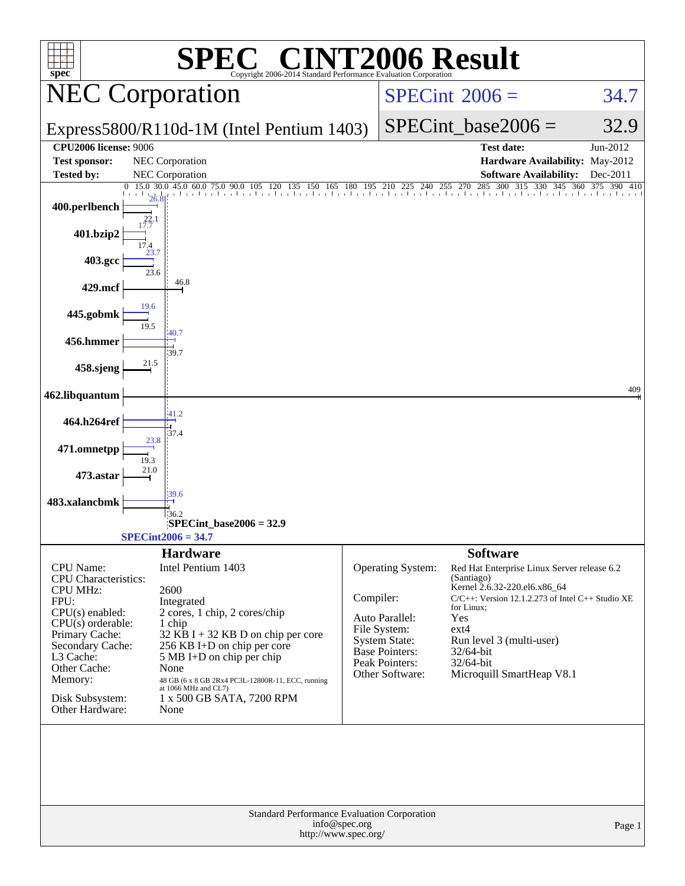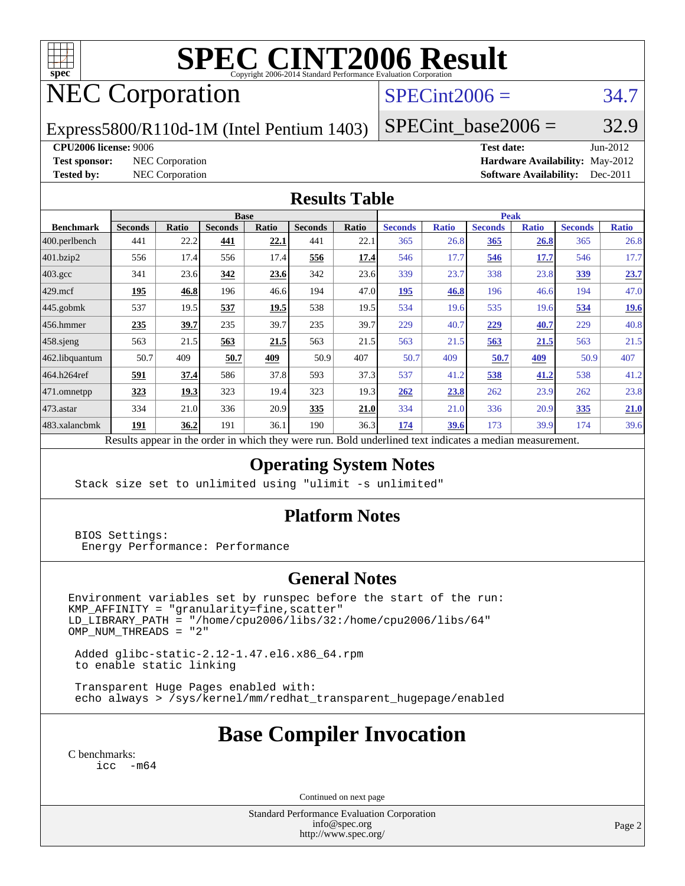

# **[SPEC CINT2006 Result](http://www.spec.org/auto/cpu2006/Docs/result-fields.html#SPECCINT2006Result)**

## NEC Corporation

## $SPECint2006 = 34.7$  $SPECint2006 = 34.7$

Express5800/R110d-1M (Intel Pentium 1403)

 $SPECTnt\_base2006 = 32.9$ 

#### **[CPU2006 license:](http://www.spec.org/auto/cpu2006/Docs/result-fields.html#CPU2006license)** 9006 **[Test date:](http://www.spec.org/auto/cpu2006/Docs/result-fields.html#Testdate)** Jun-2012

**[Test sponsor:](http://www.spec.org/auto/cpu2006/Docs/result-fields.html#Testsponsor)** NEC Corporation **[Hardware Availability:](http://www.spec.org/auto/cpu2006/Docs/result-fields.html#HardwareAvailability)** May-2012 **[Tested by:](http://www.spec.org/auto/cpu2006/Docs/result-fields.html#Testedby)** NEC Corporation **[Software Availability:](http://www.spec.org/auto/cpu2006/Docs/result-fields.html#SoftwareAvailability)** Dec-2011

#### **[Results Table](http://www.spec.org/auto/cpu2006/Docs/result-fields.html#ResultsTable)**

| <b>Ratio</b> |
|--------------|
| 26.8<br>17.7 |
|              |
|              |
| 23.7         |
| 47.0         |
| <u>19.6</u>  |
| 40.8         |
| 21.5         |
| 407          |
| 41.2         |
| 23.8         |
| 21.0         |
| 39.6         |
| 50.9         |

Results appear in the [order in which they were run.](http://www.spec.org/auto/cpu2006/Docs/result-fields.html#RunOrder) Bold underlined text [indicates a median measurement.](http://www.spec.org/auto/cpu2006/Docs/result-fields.html#Median)

#### **[Operating System Notes](http://www.spec.org/auto/cpu2006/Docs/result-fields.html#OperatingSystemNotes)**

Stack size set to unlimited using "ulimit -s unlimited"

#### **[Platform Notes](http://www.spec.org/auto/cpu2006/Docs/result-fields.html#PlatformNotes)**

 BIOS Settings: Energy Performance: Performance

#### **[General Notes](http://www.spec.org/auto/cpu2006/Docs/result-fields.html#GeneralNotes)**

Environment variables set by runspec before the start of the run: KMP\_AFFINITY = "granularity=fine,scatter" LD\_LIBRARY\_PATH = "/home/cpu2006/libs/32:/home/cpu2006/libs/64"  $OMP$  NUM THREADS = "2"

 Added glibc-static-2.12-1.47.el6.x86\_64.rpm to enable static linking

 Transparent Huge Pages enabled with: echo always > /sys/kernel/mm/redhat\_transparent\_hugepage/enabled

## **[Base Compiler Invocation](http://www.spec.org/auto/cpu2006/Docs/result-fields.html#BaseCompilerInvocation)**

[C benchmarks](http://www.spec.org/auto/cpu2006/Docs/result-fields.html#Cbenchmarks): [icc -m64](http://www.spec.org/cpu2006/results/res2012q3/cpu2006-20120617-22908.flags.html#user_CCbase_intel_icc_64bit_f346026e86af2a669e726fe758c88044)

Continued on next page

Standard Performance Evaluation Corporation [info@spec.org](mailto:info@spec.org) <http://www.spec.org/>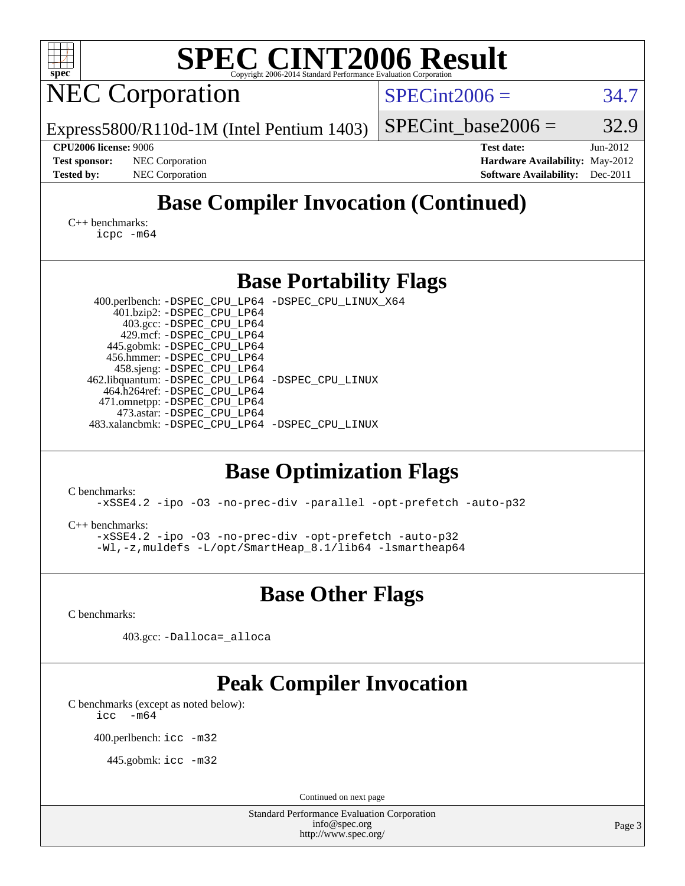| <b>SPEC CINT2006 Result</b><br>$spec^*$<br>Copyright 2006-2014 Standard Performance Evaluation Corporation                                                                                                                                                                                                                                                                                                                                 |                 |                                                                                       |                        |
|--------------------------------------------------------------------------------------------------------------------------------------------------------------------------------------------------------------------------------------------------------------------------------------------------------------------------------------------------------------------------------------------------------------------------------------------|-----------------|---------------------------------------------------------------------------------------|------------------------|
| <b>NEC Corporation</b>                                                                                                                                                                                                                                                                                                                                                                                                                     | $SPECint2006 =$ |                                                                                       | 34.7                   |
| Express5800/R110d-1M (Intel Pentium 1403)                                                                                                                                                                                                                                                                                                                                                                                                  |                 | SPECint base2006 $=$                                                                  | 32.9                   |
| <b>CPU2006 license: 9006</b><br><b>Test sponsor:</b><br><b>NEC</b> Corporation<br><b>Tested by:</b><br>NEC Corporation                                                                                                                                                                                                                                                                                                                     |                 | <b>Test date:</b><br>Hardware Availability: May-2012<br><b>Software Availability:</b> | $Jun-2012$<br>Dec-2011 |
| <b>Base Compiler Invocation (Continued)</b>                                                                                                                                                                                                                                                                                                                                                                                                |                 |                                                                                       |                        |
| C++ benchmarks:<br>$icpc$ $-m64$                                                                                                                                                                                                                                                                                                                                                                                                           |                 |                                                                                       |                        |
| <b>Base Portability Flags</b>                                                                                                                                                                                                                                                                                                                                                                                                              |                 |                                                                                       |                        |
| 400.perlbench: -DSPEC_CPU_LP64 -DSPEC_CPU_LINUX_X64<br>401.bzip2: -DSPEC_CPU_LP64<br>403.gcc: -DSPEC_CPU_LP64<br>429.mcf: -DSPEC_CPU_LP64<br>445.gobmk: -DSPEC_CPU_LP64<br>456.hmmer: -DSPEC_CPU_LP64<br>458.sjeng: -DSPEC_CPU_LP64<br>462.libquantum: - DSPEC_CPU_LP64 - DSPEC_CPU_LINUX<br>464.h264ref: -DSPEC_CPU_LP64<br>471.omnetpp: -DSPEC CPU LP64<br>473.astar: -DSPEC_CPU_LP64<br>483.xalancbmk: -DSPEC CPU LP64 -DSPEC CPU LINUX |                 |                                                                                       |                        |
| <b>Base Optimization Flags</b><br>C benchmarks:<br>-xSSE4.2 -ipo -03 -no-prec-div -parallel -opt-prefetch -auto-p32<br>$C_{++}$ benchmarks:<br>-xSSE4.2 -ipo -03 -no-prec-div -opt-prefetch -auto-p32<br>$-Wl$ , -z, muldefs -L/opt/SmartHeap 8.1/lib64 -lsmartheap64                                                                                                                                                                      |                 |                                                                                       |                        |
| <b>Base Other Flags</b>                                                                                                                                                                                                                                                                                                                                                                                                                    |                 |                                                                                       |                        |
| C benchmarks:                                                                                                                                                                                                                                                                                                                                                                                                                              |                 |                                                                                       |                        |
| 403.gcc: -Dalloca=_alloca                                                                                                                                                                                                                                                                                                                                                                                                                  |                 |                                                                                       |                        |
| <b>Peak Compiler Invocation</b><br>C benchmarks (except as noted below):<br>$-m64$<br>icc                                                                                                                                                                                                                                                                                                                                                  |                 |                                                                                       |                        |
| 400.perlbench: icc -m32                                                                                                                                                                                                                                                                                                                                                                                                                    |                 |                                                                                       |                        |
| 445.gobmk: icc -m32                                                                                                                                                                                                                                                                                                                                                                                                                        |                 |                                                                                       |                        |
| Continued on next page                                                                                                                                                                                                                                                                                                                                                                                                                     |                 |                                                                                       |                        |
| <b>Standard Performance Evaluation Corporation</b><br>info@spec.org<br>http://www.spec.org/                                                                                                                                                                                                                                                                                                                                                |                 |                                                                                       | Page 3                 |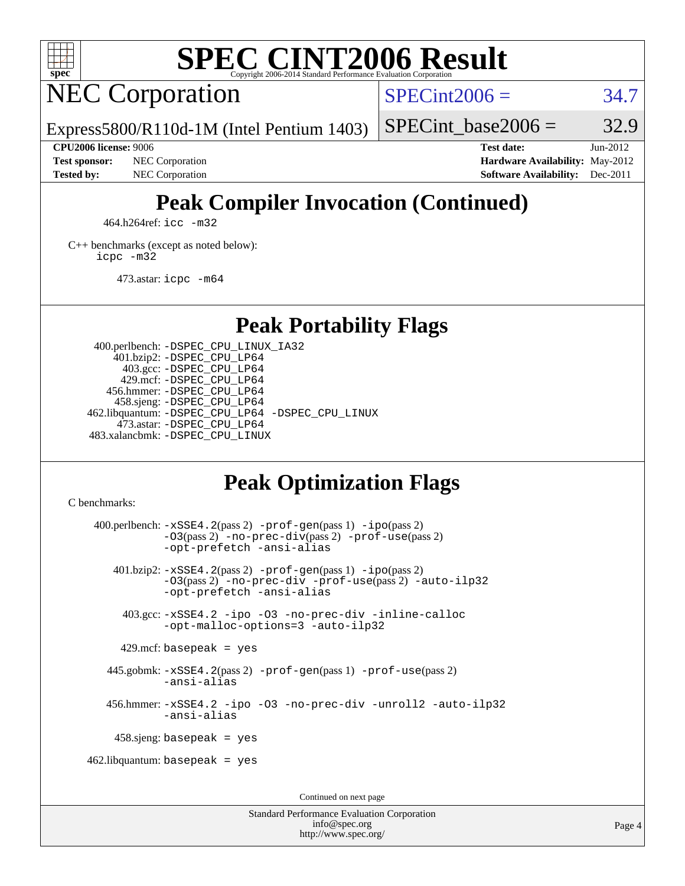

# **[SPEC CINT2006 Result](http://www.spec.org/auto/cpu2006/Docs/result-fields.html#SPECCINT2006Result)**

## NEC Corporation

 $SPECint2006 = 34.7$  $SPECint2006 = 34.7$ 

Express5800/R110d-1M (Intel Pentium 1403)

#### **[CPU2006 license:](http://www.spec.org/auto/cpu2006/Docs/result-fields.html#CPU2006license)** 9006 **[Test date:](http://www.spec.org/auto/cpu2006/Docs/result-fields.html#Testdate)** Jun-2012

**[Test sponsor:](http://www.spec.org/auto/cpu2006/Docs/result-fields.html#Testsponsor)** NEC Corporation **[Hardware Availability:](http://www.spec.org/auto/cpu2006/Docs/result-fields.html#HardwareAvailability)** May-2012

SPECint base2006 =  $32.9$ 

**[Tested by:](http://www.spec.org/auto/cpu2006/Docs/result-fields.html#Testedby)** NEC Corporation **[Software Availability:](http://www.spec.org/auto/cpu2006/Docs/result-fields.html#SoftwareAvailability)** Dec-2011

## **[Peak Compiler Invocation \(Continued\)](http://www.spec.org/auto/cpu2006/Docs/result-fields.html#PeakCompilerInvocation)**

464.h264ref: [icc -m32](http://www.spec.org/cpu2006/results/res2012q3/cpu2006-20120617-22908.flags.html#user_peakCCLD464_h264ref_intel_icc_a6a621f8d50482236b970c6ac5f55f93)

[C++ benchmarks \(except as noted below\):](http://www.spec.org/auto/cpu2006/Docs/result-fields.html#CXXbenchmarksexceptasnotedbelow) [icpc -m32](http://www.spec.org/cpu2006/results/res2012q3/cpu2006-20120617-22908.flags.html#user_CXXpeak_intel_icpc_4e5a5ef1a53fd332b3c49e69c3330699)

473.astar: [icpc -m64](http://www.spec.org/cpu2006/results/res2012q3/cpu2006-20120617-22908.flags.html#user_peakCXXLD473_astar_intel_icpc_64bit_fc66a5337ce925472a5c54ad6a0de310)

#### **[Peak Portability Flags](http://www.spec.org/auto/cpu2006/Docs/result-fields.html#PeakPortabilityFlags)**

 400.perlbench: [-DSPEC\\_CPU\\_LINUX\\_IA32](http://www.spec.org/cpu2006/results/res2012q3/cpu2006-20120617-22908.flags.html#b400.perlbench_peakCPORTABILITY_DSPEC_CPU_LINUX_IA32) 401.bzip2: [-DSPEC\\_CPU\\_LP64](http://www.spec.org/cpu2006/results/res2012q3/cpu2006-20120617-22908.flags.html#suite_peakPORTABILITY401_bzip2_DSPEC_CPU_LP64) 403.gcc: [-DSPEC\\_CPU\\_LP64](http://www.spec.org/cpu2006/results/res2012q3/cpu2006-20120617-22908.flags.html#suite_peakPORTABILITY403_gcc_DSPEC_CPU_LP64) 429.mcf: [-DSPEC\\_CPU\\_LP64](http://www.spec.org/cpu2006/results/res2012q3/cpu2006-20120617-22908.flags.html#suite_peakPORTABILITY429_mcf_DSPEC_CPU_LP64) 456.hmmer: [-DSPEC\\_CPU\\_LP64](http://www.spec.org/cpu2006/results/res2012q3/cpu2006-20120617-22908.flags.html#suite_peakPORTABILITY456_hmmer_DSPEC_CPU_LP64) 458.sjeng: [-DSPEC\\_CPU\\_LP64](http://www.spec.org/cpu2006/results/res2012q3/cpu2006-20120617-22908.flags.html#suite_peakPORTABILITY458_sjeng_DSPEC_CPU_LP64) 462.libquantum: [-DSPEC\\_CPU\\_LP64](http://www.spec.org/cpu2006/results/res2012q3/cpu2006-20120617-22908.flags.html#suite_peakPORTABILITY462_libquantum_DSPEC_CPU_LP64) [-DSPEC\\_CPU\\_LINUX](http://www.spec.org/cpu2006/results/res2012q3/cpu2006-20120617-22908.flags.html#b462.libquantum_peakCPORTABILITY_DSPEC_CPU_LINUX) 473.astar: [-DSPEC\\_CPU\\_LP64](http://www.spec.org/cpu2006/results/res2012q3/cpu2006-20120617-22908.flags.html#suite_peakPORTABILITY473_astar_DSPEC_CPU_LP64) 483.xalancbmk: [-DSPEC\\_CPU\\_LINUX](http://www.spec.org/cpu2006/results/res2012q3/cpu2006-20120617-22908.flags.html#b483.xalancbmk_peakCXXPORTABILITY_DSPEC_CPU_LINUX)

## **[Peak Optimization Flags](http://www.spec.org/auto/cpu2006/Docs/result-fields.html#PeakOptimizationFlags)**

[C benchmarks](http://www.spec.org/auto/cpu2006/Docs/result-fields.html#Cbenchmarks):

 400.perlbench: [-xSSE4.2](http://www.spec.org/cpu2006/results/res2012q3/cpu2006-20120617-22908.flags.html#user_peakPASS2_CFLAGSPASS2_LDCFLAGS400_perlbench_f-xSSE42_f91528193cf0b216347adb8b939d4107)(pass 2) [-prof-gen](http://www.spec.org/cpu2006/results/res2012q3/cpu2006-20120617-22908.flags.html#user_peakPASS1_CFLAGSPASS1_LDCFLAGS400_perlbench_prof_gen_e43856698f6ca7b7e442dfd80e94a8fc)(pass 1) [-ipo](http://www.spec.org/cpu2006/results/res2012q3/cpu2006-20120617-22908.flags.html#user_peakPASS2_CFLAGSPASS2_LDCFLAGS400_perlbench_f-ipo)(pass 2) [-O3](http://www.spec.org/cpu2006/results/res2012q3/cpu2006-20120617-22908.flags.html#user_peakPASS2_CFLAGSPASS2_LDCFLAGS400_perlbench_f-O3)(pass 2) [-no-prec-div](http://www.spec.org/cpu2006/results/res2012q3/cpu2006-20120617-22908.flags.html#user_peakPASS2_CFLAGSPASS2_LDCFLAGS400_perlbench_f-no-prec-div)(pass 2) [-prof-use](http://www.spec.org/cpu2006/results/res2012q3/cpu2006-20120617-22908.flags.html#user_peakPASS2_CFLAGSPASS2_LDCFLAGS400_perlbench_prof_use_bccf7792157ff70d64e32fe3e1250b55)(pass 2) [-opt-prefetch](http://www.spec.org/cpu2006/results/res2012q3/cpu2006-20120617-22908.flags.html#user_peakCOPTIMIZE400_perlbench_f-opt-prefetch) [-ansi-alias](http://www.spec.org/cpu2006/results/res2012q3/cpu2006-20120617-22908.flags.html#user_peakCOPTIMIZE400_perlbench_f-ansi-alias) 401.bzip2: [-xSSE4.2](http://www.spec.org/cpu2006/results/res2012q3/cpu2006-20120617-22908.flags.html#user_peakPASS2_CFLAGSPASS2_LDCFLAGS401_bzip2_f-xSSE42_f91528193cf0b216347adb8b939d4107)(pass 2) [-prof-gen](http://www.spec.org/cpu2006/results/res2012q3/cpu2006-20120617-22908.flags.html#user_peakPASS1_CFLAGSPASS1_LDCFLAGS401_bzip2_prof_gen_e43856698f6ca7b7e442dfd80e94a8fc)(pass 1) [-ipo](http://www.spec.org/cpu2006/results/res2012q3/cpu2006-20120617-22908.flags.html#user_peakPASS2_CFLAGSPASS2_LDCFLAGS401_bzip2_f-ipo)(pass 2) [-O3](http://www.spec.org/cpu2006/results/res2012q3/cpu2006-20120617-22908.flags.html#user_peakPASS2_CFLAGSPASS2_LDCFLAGS401_bzip2_f-O3)(pass 2) [-no-prec-div](http://www.spec.org/cpu2006/results/res2012q3/cpu2006-20120617-22908.flags.html#user_peakCOPTIMIZEPASS2_CFLAGSPASS2_LDCFLAGS401_bzip2_f-no-prec-div) [-prof-use](http://www.spec.org/cpu2006/results/res2012q3/cpu2006-20120617-22908.flags.html#user_peakPASS2_CFLAGSPASS2_LDCFLAGS401_bzip2_prof_use_bccf7792157ff70d64e32fe3e1250b55)(pass 2) [-auto-ilp32](http://www.spec.org/cpu2006/results/res2012q3/cpu2006-20120617-22908.flags.html#user_peakCOPTIMIZE401_bzip2_f-auto-ilp32) [-opt-prefetch](http://www.spec.org/cpu2006/results/res2012q3/cpu2006-20120617-22908.flags.html#user_peakCOPTIMIZE401_bzip2_f-opt-prefetch) [-ansi-alias](http://www.spec.org/cpu2006/results/res2012q3/cpu2006-20120617-22908.flags.html#user_peakCOPTIMIZE401_bzip2_f-ansi-alias) 403.gcc: [-xSSE4.2](http://www.spec.org/cpu2006/results/res2012q3/cpu2006-20120617-22908.flags.html#user_peakCOPTIMIZE403_gcc_f-xSSE42_f91528193cf0b216347adb8b939d4107) [-ipo](http://www.spec.org/cpu2006/results/res2012q3/cpu2006-20120617-22908.flags.html#user_peakCOPTIMIZE403_gcc_f-ipo) [-O3](http://www.spec.org/cpu2006/results/res2012q3/cpu2006-20120617-22908.flags.html#user_peakCOPTIMIZE403_gcc_f-O3) [-no-prec-div](http://www.spec.org/cpu2006/results/res2012q3/cpu2006-20120617-22908.flags.html#user_peakCOPTIMIZE403_gcc_f-no-prec-div) [-inline-calloc](http://www.spec.org/cpu2006/results/res2012q3/cpu2006-20120617-22908.flags.html#user_peakCOPTIMIZE403_gcc_f-inline-calloc) [-opt-malloc-options=3](http://www.spec.org/cpu2006/results/res2012q3/cpu2006-20120617-22908.flags.html#user_peakCOPTIMIZE403_gcc_f-opt-malloc-options_13ab9b803cf986b4ee62f0a5998c2238) [-auto-ilp32](http://www.spec.org/cpu2006/results/res2012q3/cpu2006-20120617-22908.flags.html#user_peakCOPTIMIZE403_gcc_f-auto-ilp32)  $429$ .mcf: basepeak = yes 445.gobmk: [-xSSE4.2](http://www.spec.org/cpu2006/results/res2012q3/cpu2006-20120617-22908.flags.html#user_peakPASS2_CFLAGSPASS2_LDCFLAGS445_gobmk_f-xSSE42_f91528193cf0b216347adb8b939d4107)(pass 2) [-prof-gen](http://www.spec.org/cpu2006/results/res2012q3/cpu2006-20120617-22908.flags.html#user_peakPASS1_CFLAGSPASS1_LDCFLAGS445_gobmk_prof_gen_e43856698f6ca7b7e442dfd80e94a8fc)(pass 1) [-prof-use](http://www.spec.org/cpu2006/results/res2012q3/cpu2006-20120617-22908.flags.html#user_peakPASS2_CFLAGSPASS2_LDCFLAGS445_gobmk_prof_use_bccf7792157ff70d64e32fe3e1250b55)(pass 2) [-ansi-alias](http://www.spec.org/cpu2006/results/res2012q3/cpu2006-20120617-22908.flags.html#user_peakCOPTIMIZE445_gobmk_f-ansi-alias) 456.hmmer: [-xSSE4.2](http://www.spec.org/cpu2006/results/res2012q3/cpu2006-20120617-22908.flags.html#user_peakCOPTIMIZE456_hmmer_f-xSSE42_f91528193cf0b216347adb8b939d4107) [-ipo](http://www.spec.org/cpu2006/results/res2012q3/cpu2006-20120617-22908.flags.html#user_peakCOPTIMIZE456_hmmer_f-ipo) [-O3](http://www.spec.org/cpu2006/results/res2012q3/cpu2006-20120617-22908.flags.html#user_peakCOPTIMIZE456_hmmer_f-O3) [-no-prec-div](http://www.spec.org/cpu2006/results/res2012q3/cpu2006-20120617-22908.flags.html#user_peakCOPTIMIZE456_hmmer_f-no-prec-div) [-unroll2](http://www.spec.org/cpu2006/results/res2012q3/cpu2006-20120617-22908.flags.html#user_peakCOPTIMIZE456_hmmer_f-unroll_784dae83bebfb236979b41d2422d7ec2) [-auto-ilp32](http://www.spec.org/cpu2006/results/res2012q3/cpu2006-20120617-22908.flags.html#user_peakCOPTIMIZE456_hmmer_f-auto-ilp32) [-ansi-alias](http://www.spec.org/cpu2006/results/res2012q3/cpu2006-20120617-22908.flags.html#user_peakCOPTIMIZE456_hmmer_f-ansi-alias) 458.sjeng: basepeak = yes  $462$ .libquantum: basepeak = yes Continued on next page

> Standard Performance Evaluation Corporation [info@spec.org](mailto:info@spec.org) <http://www.spec.org/>